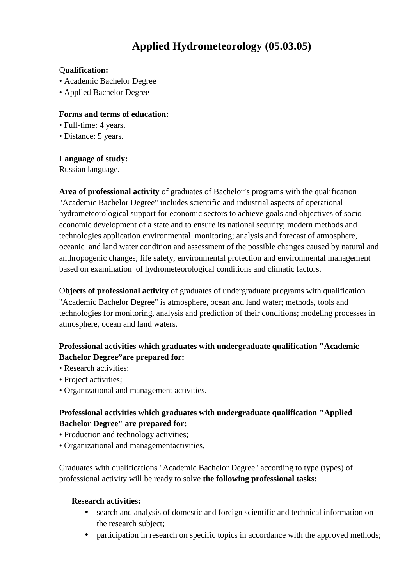# **Applied ydrometeorology (05.03.05)**

#### Q**ualification:**

- Academic Bachelor Degree
- Applied Bachelor Degree

#### **Forms and terms of education:**

- Full-time: 4 years.
- Distance: 5 years.

#### **Language of study:**

Russian language.

**Area of professional activity** of graduates of Bachelor's programs with the qualification "Academic Bachelor Degree" includes scientific and industrial aspects of operational hydrometeorological support for economic sectors to achieve goals and objectives of socio economic development of a state and to ensure its national security; modern methods and technologies application environmental monitoring; analysis and forecast of atmosphere, oceanic and land water condition and assessment of the possible changes caused by natural and anthropogenic changes; life safety, environmental protection and environmental management based on examination of hydrometeorological conditions and climatic factors.

O**bjects of professional activity** of graduates of undergraduate programs with qualification "Academic Bachelor Degree" is atmosphere, ocean and land water; methods, tools and technologies for monitoring, analysis and prediction of their conditions; modeling processes in atmosphere, ocean and land waters.

## **Professional activities which graduates with undergraduate qualification "Academic Bachelor Degree"are prepared for:**

- Research activities;
- Project activities:
- Organizational and management activities.

## **Professional activities which graduates with undergraduate qualification "Applied Bachelor Degree" are prepared for:**

- Production and technology activities;
- Organizational and managementactivities,

Graduates with qualifications "Academic Bachelor Degree" according to type (types) of professional activity will be ready to solve **the following professional tasks:**

#### **Research activities:**

- search and analysis of domestic and foreign scientific and technical information on the research subject;
- participation in research on specific topics in accordance with the approved methods;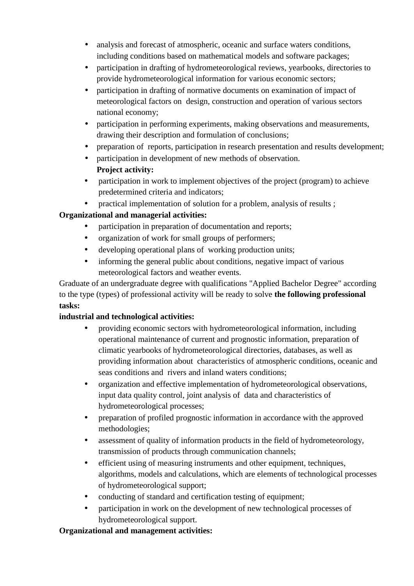- analysis and forecast of atmospheric, oceanic and surface waters conditions, including conditions based on mathematical models and software packages;
- participation in drafting of hydrometeorological reviews, yearbooks, directories to provide hydrometeorological information for various economic sectors;
- participation in drafting of normative documents on examination of impact of meteorological factors on design, construction and operation of various sectors national economy;
- participation in performing experiments, making observations and measurements, drawing their description and formulation of conclusions;
- preparation of reports, participation in research presentation and results development;
- participation in development of new methods of observation. **Project activity:**
- participation in work to implement objectives of the project (program) to achieve predetermined criteria and indicators;
- practical implementation of solution for a problem, analysis of results ;

## **Organizational and managerial activities:**

- participation in preparation of documentation and reports;
- organization of work for small groups of performers;
- developing operational plans of working production units;
- informing the general public about conditions, negative impact of various meteorological factors and weather events.

Graduate of an undergraduate degree with qualifications "Applied Bachelor Degree" according to the type (types) of professional activity will be ready to solve **the following professional tasks:**

## **industrial and technological activities:**

- providing economic sectors with hydrometeorological information, including operational maintenance of current and prognostic information, preparation of climatic yearbooks of hydrometeorological directories, databases, as well as providing information about characteristics of atmospheric conditions, oceanic and seas conditions and rivers and inland waters conditions;
- organization and effective implementation of hydrometeorological observations, input data quality control, joint analysis of data and characteristics of hydrometeorological processes;
- preparation of profiled prognostic information in accordance with the approved methodologies;
- assessment of quality of information products in the field of hydrometeorology, transmission of products through communication channels;
- efficient using of measuring instruments and other equipment, techniques, algorithms, models and calculations, which are elements of technological processes of hydrometeorological support;
- conducting of standard and certification testing of equipment;
- participation in work on the development of new technological processes of hydrometeorological support.

## **Organizational and management activities:**